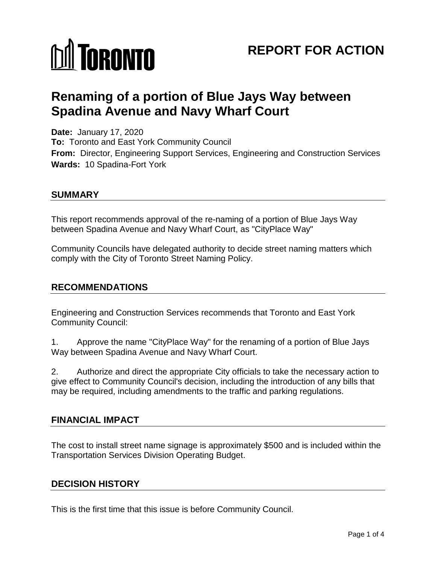# **MI TORONTO**

# **REPORT FOR ACTION**

# **Renaming of a portion of Blue Jays Way between Spadina Avenue and Navy Wharf Court**

**Date:** January 17, 2020 **To:** Toronto and East York Community Council **From:** Director, Engineering Support Services, Engineering and Construction Services **Wards:** 10 Spadina-Fort York

#### **SUMMARY**

This report recommends approval of the re-naming of a portion of Blue Jays Way between Spadina Avenue and Navy Wharf Court, as "CityPlace Way"

Community Councils have delegated authority to decide street naming matters which comply with the City of Toronto Street Naming Policy.

#### **RECOMMENDATIONS**

Engineering and Construction Services recommends that Toronto and East York Community Council:

1. Approve the name "CityPlace Way" for the renaming of a portion of Blue Jays Way between Spadina Avenue and Navy Wharf Court.

2. Authorize and direct the appropriate City officials to take the necessary action to give effect to Community Council's decision, including the introduction of any bills that may be required, including amendments to the traffic and parking regulations.

#### **FINANCIAL IMPACT**

The cost to install street name signage is approximately \$500 and is included within the Transportation Services Division Operating Budget.

#### **DECISION HISTORY**

This is the first time that this issue is before Community Council.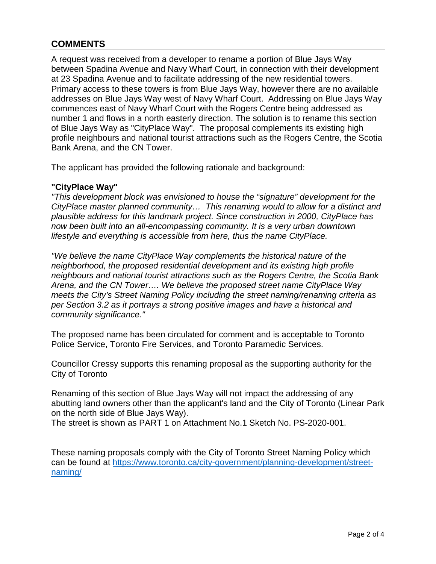## **COMMENTS**

A request was received from a developer to rename a portion of Blue Jays Way between Spadina Avenue and Navy Wharf Court, in connection with their development at 23 Spadina Avenue and to facilitate addressing of the new residential towers. Primary access to these towers is from Blue Jays Way, however there are no available addresses on Blue Jays Way west of Navy Wharf Court. Addressing on Blue Jays Way commences east of Navy Wharf Court with the Rogers Centre being addressed as number 1 and flows in a north easterly direction. The solution is to rename this section of Blue Jays Way as "CityPlace Way". The proposal complements its existing high profile neighbours and national tourist attractions such as the Rogers Centre, the Scotia Bank Arena, and the CN Tower.

The applicant has provided the following rationale and background:

#### **"CityPlace Way"**

*"This development block was envisioned to house the "signature" development for the CityPlace master planned community… This renaming would to allow for a distinct and plausible address for this landmark project. Since construction in 2000, CityPlace has now been built into an all-encompassing community. It is a very urban downtown lifestyle and everything is accessible from here, thus the name CityPlace.*

*"We believe the name CityPlace Way complements the historical nature of the neighborhood, the proposed residential development and its existing high profile neighbours and national tourist attractions such as the Rogers Centre, the Scotia Bank Arena, and the CN Tower…. We believe the proposed street name CityPlace Way meets the City's Street Naming Policy including the street naming/renaming criteria as per Section 3.2 as it portrays a strong positive images and have a historical and community significance."*

The proposed name has been circulated for comment and is acceptable to Toronto Police Service, Toronto Fire Services, and Toronto Paramedic Services.

Councillor Cressy supports this renaming proposal as the supporting authority for the City of Toronto

Renaming of this section of Blue Jays Way will not impact the addressing of any abutting land owners other than the applicant's land and the City of Toronto (Linear Park on the north side of Blue Jays Way).

The street is shown as PART 1 on Attachment No.1 Sketch No. PS-2020-001.

These naming proposals comply with the City of Toronto Street Naming Policy which can be found at [https://www.toronto.ca/city-government/planning-development/street](https://www.toronto.ca/city-government/planning-development/street-naming/)[naming/](https://www.toronto.ca/city-government/planning-development/street-naming/)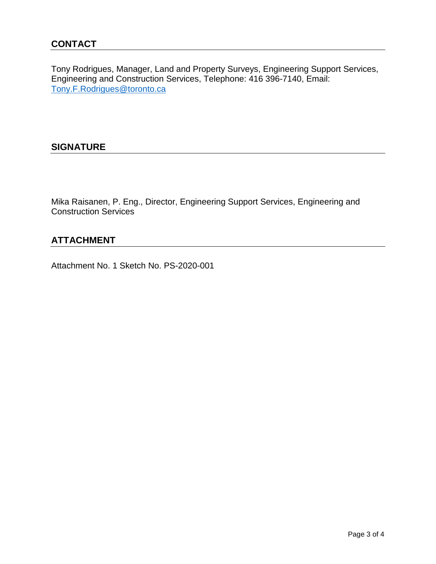Tony Rodrigues, Manager, Land and Property Surveys, Engineering Support Services, Engineering and Construction Services, Telephone: 416 396-7140, Email: [Tony.F.Rodrigues@toronto.ca](mailto:Tony.F.Rodrigues@toronto.ca)

### **SIGNATURE**

Mika Raisanen, P. Eng., Director, Engineering Support Services, Engineering and Construction Services

## **ATTACHMENT**

Attachment No. 1 Sketch No. PS-2020-001